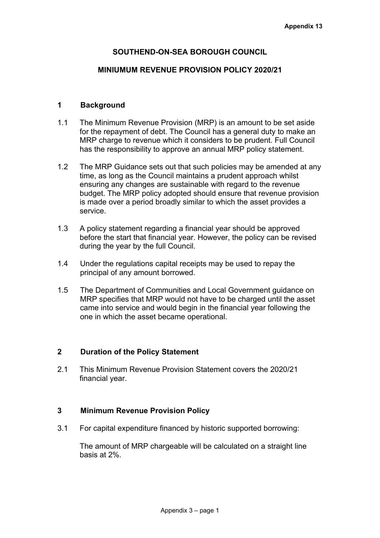# **SOUTHEND-ON-SEA BOROUGH COUNCIL**

### **MINIUMUM REVENUE PROVISION POLICY 2020/21**

## **1 Background**

- 1.1 The Minimum Revenue Provision (MRP) is an amount to be set aside for the repayment of debt. The Council has a general duty to make an MRP charge to revenue which it considers to be prudent. Full Council has the responsibility to approve an annual MRP policy statement.
- 1.2 The MRP Guidance sets out that such policies may be amended at any time, as long as the Council maintains a prudent approach whilst ensuring any changes are sustainable with regard to the revenue budget. The MRP policy adopted should ensure that revenue provision is made over a period broadly similar to which the asset provides a service.
- 1.3 A policy statement regarding a financial year should be approved before the start that financial year. However, the policy can be revised during the year by the full Council.
- 1.4 Under the regulations capital receipts may be used to repay the principal of any amount borrowed.
- 1.5 The Department of Communities and Local Government guidance on MRP specifies that MRP would not have to be charged until the asset came into service and would begin in the financial year following the one in which the asset became operational.

## **2 Duration of the Policy Statement**

2.1 This Minimum Revenue Provision Statement covers the 2020/21 financial year.

#### **3 Minimum Revenue Provision Policy**

3.1 For capital expenditure financed by historic supported borrowing:

The amount of MRP chargeable will be calculated on a straight line basis at 2%.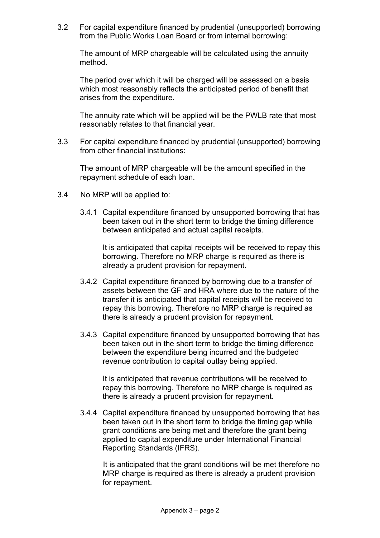3.2 For capital expenditure financed by prudential (unsupported) borrowing from the Public Works Loan Board or from internal borrowing:

The amount of MRP chargeable will be calculated using the annuity method.

The period over which it will be charged will be assessed on a basis which most reasonably reflects the anticipated period of benefit that arises from the expenditure.

The annuity rate which will be applied will be the PWLB rate that most reasonably relates to that financial year.

3.3 For capital expenditure financed by prudential (unsupported) borrowing from other financial institutions:

The amount of MRP chargeable will be the amount specified in the repayment schedule of each loan.

- 3.4 No MRP will be applied to:
	- 3.4.1 Capital expenditure financed by unsupported borrowing that has been taken out in the short term to bridge the timing difference between anticipated and actual capital receipts.

It is anticipated that capital receipts will be received to repay this borrowing. Therefore no MRP charge is required as there is already a prudent provision for repayment.

- 3.4.2 Capital expenditure financed by borrowing due to a transfer of assets between the GF and HRA where due to the nature of the transfer it is anticipated that capital receipts will be received to repay this borrowing. Therefore no MRP charge is required as there is already a prudent provision for repayment.
- 3.4.3 Capital expenditure financed by unsupported borrowing that has been taken out in the short term to bridge the timing difference between the expenditure being incurred and the budgeted revenue contribution to capital outlay being applied.

It is anticipated that revenue contributions will be received to repay this borrowing. Therefore no MRP charge is required as there is already a prudent provision for repayment.

3.4.4 Capital expenditure financed by unsupported borrowing that has been taken out in the short term to bridge the timing gap while grant conditions are being met and therefore the grant being applied to capital expenditure under International Financial Reporting Standards (IFRS).

It is anticipated that the grant conditions will be met therefore no MRP charge is required as there is already a prudent provision for repayment.